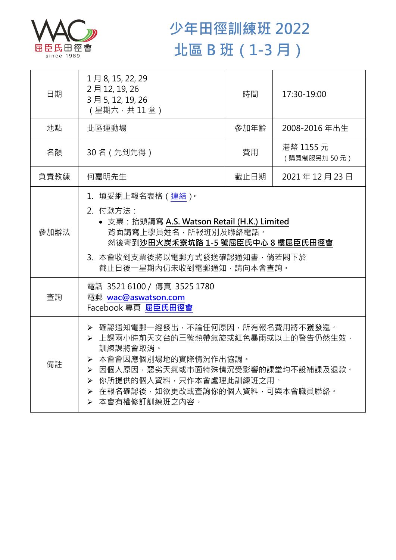

## **少年田徑訓練班 2022 北區 B 班(1-3 月)**

| 日期   | 1月8, 15, 22, 29<br>2月12, 19, 26<br>3月5, 12, 19, 26<br>(星期六,共11堂)                                                                                                                                                                      | 時間   | 17:30-19:00              |  |
|------|---------------------------------------------------------------------------------------------------------------------------------------------------------------------------------------------------------------------------------------|------|--------------------------|--|
| 地點   | 北區運動場                                                                                                                                                                                                                                 | 參加年齡 | 2008-2016年出生             |  |
| 名額   | 30名 (先到先得)                                                                                                                                                                                                                            | 費用   | 港幣 1155 元<br>(購買制服另加50元) |  |
| 負責教練 | 何嘉明先生                                                                                                                                                                                                                                 | 截止日期 | 2021年12月23日              |  |
| 參加辦法 | 1.填妥網上報名表格(連結) <sup>。</sup><br>2. 付款方法:<br>• 支票: 抬頭請寫 A.S. Watson Retail (H.K.) Limited<br>背面請寫上學員姓名,所報班別及聯絡電話。<br>然後寄到沙田火炭禾寮坑路 1-5 號屈臣氏中心 8 樓屈臣氏田徑會<br>3. 本會收到支票後將以電郵方式發送確認通知書,倘若閣下於<br>截止日後一星期內仍未收到電郵通知,請向本會查詢。                     |      |                          |  |
| 查詢   | 電話 3521 6100 / 傳真 3525 1780<br>電郵 wac@aswatson.com<br>Facebook 專頁 屈臣氏田徑會                                                                                                                                                              |      |                          |  |
| 備註   | ▶ 確認通知電郵一經發出,不論任何原因,所有報名費用將不獲發還。<br>> 上課兩小時前天文台的三號熱帶氣旋或紅色暴雨或以上的警告仍然生效,<br>訓練課將會取消。<br>> 本會會因應個別場地的實際情況作出協調。<br>▶ 因個人原因,惡劣天氣或市面特殊情況受影響的課堂均不設補課及退款。<br>> 你所提供的個人資料,只作本會處理此訓練班之用。<br>▶ 在報名確認後,如欲更改或查詢你的個人資料,可與本會職員聯絡。<br>▶ 本會有權修訂訓練班之內容。 |      |                          |  |